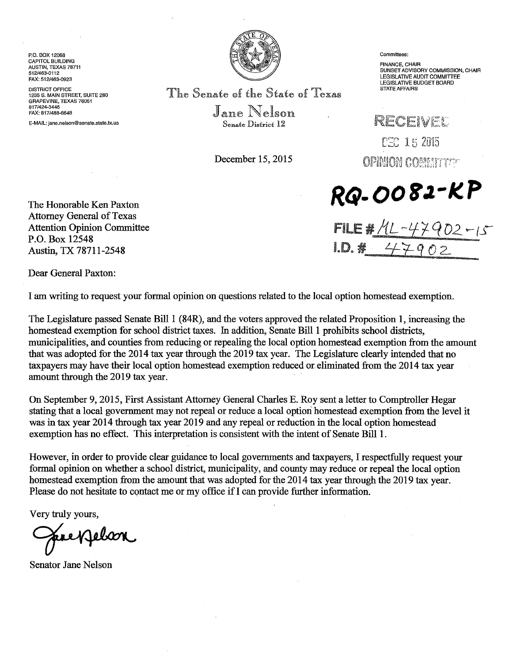P.O. BOX 12068 CAPITOL BUILDING AUSTIN, TEXAS 78711 512/463-0112 FAX: 512/463-0923

DISTRICT OFFICE 1235 S. MAIN STREET, SUITE 280 GRAPEVINE, TEXAS 76051 817/424-3446 FAX: 817/488-6648

E-MAIL: jane.nelson@senate.state.tx.us



The Senate cof the State cof Texas

 $J_{\text{ane}}$  Nelson Senate District 12

December 15, 2015

Committees:

FINANCE, CHAIR SUNSET ADVISORY COMMISSION, CHAIR LEGISLATIVE AUDIT COMMITTEE LEGISLATIVE BUDGET BOARD STATE AFFAIRS

RECEIVEL CHC 15 2015 **OPINION COMMITTS** 

**Rfi-00 r J.-K. P** 

tDQ # *4:1-q ()* 2-

FILE # 1L -47 9 02 -15



Dear General Paxton:

I am writing to request your formal opinion on questions related to the local option homestead exemption.

The Legislature passed Senate Bill 1 (84R), and the voters approved the related Proposition 1, increasing the homestead exemption for school district taxes. In addition, Senate Bill 1 prohibits school districts, municipalities, and counties from reducing or repealing the local option homestead exemption from the amount that was adopted for the 2014 tax year through the 2019 tax year. The Legislature clearly intended that no taxpayers may have their local option homestead exemption reduced or. eliminated from the 2014 tax year amount through the 2019 tax year.

On September 9, 2015, First Assistant Attorney General Charles E. Roy sent a letter to Comptroller Hegar stating that a local government may not repeal or reduce a local option homestead exemption from the level it was in tax year 2014 through tax year 2019 and any repeal or reduction in the local option homestead exemption has no effect. This interpretation is consistent with the intent of Senate Bill 1.

However, in order to provide clear guidance to local governments and taxpayers, I respectfully request your formal opinion on whether a school district, municipality, and county may reduce or repeal the local option homestead exemption from the amount that was adopted for the 2014 tax year through the 2019 tax year. Please do not hesitate to contact me or my office if I can provide further information.

Very truly yours,

Senator Jane Nelson